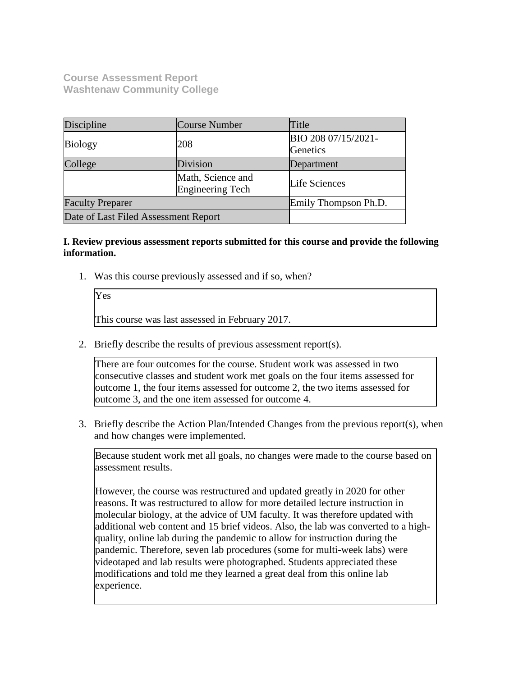**Course Assessment Report Washtenaw Community College**

Yes

| Discipline                           | Course Number                         | Title                           |
|--------------------------------------|---------------------------------------|---------------------------------|
| <b>Biology</b>                       | 208                                   | BIO 208 07/15/2021-<br>Genetics |
| College                              | Division                              | Department                      |
|                                      | Math, Science and<br>Engineering Tech | Life Sciences                   |
| <b>Faculty Preparer</b>              |                                       | Emily Thompson Ph.D.            |
| Date of Last Filed Assessment Report |                                       |                                 |

### **I. Review previous assessment reports submitted for this course and provide the following information.**

1. Was this course previously assessed and if so, when?

This course was last assessed in February 2017.

2. Briefly describe the results of previous assessment report(s).

There are four outcomes for the course. Student work was assessed in two consecutive classes and student work met goals on the four items assessed for outcome 1, the four items assessed for outcome 2, the two items assessed for outcome 3, and the one item assessed for outcome 4.

3. Briefly describe the Action Plan/Intended Changes from the previous report(s), when and how changes were implemented.

Because student work met all goals, no changes were made to the course based on assessment results.

However, the course was restructured and updated greatly in 2020 for other reasons. It was restructured to allow for more detailed lecture instruction in molecular biology, at the advice of UM faculty. It was therefore updated with additional web content and 15 brief videos. Also, the lab was converted to a highquality, online lab during the pandemic to allow for instruction during the pandemic. Therefore, seven lab procedures (some for multi-week labs) were videotaped and lab results were photographed. Students appreciated these modifications and told me they learned a great deal from this online lab experience.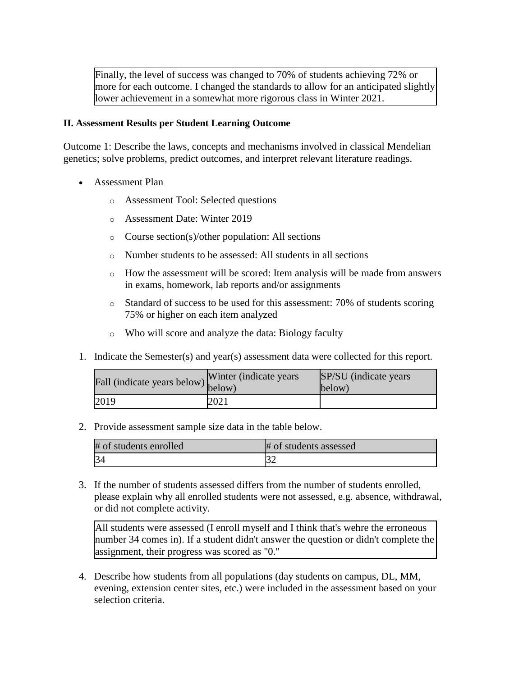Finally, the level of success was changed to 70% of students achieving 72% or more for each outcome. I changed the standards to allow for an anticipated slightly lower achievement in a somewhat more rigorous class in Winter 2021.

#### **II. Assessment Results per Student Learning Outcome**

Outcome 1: Describe the laws, concepts and mechanisms involved in classical Mendelian genetics; solve problems, predict outcomes, and interpret relevant literature readings.

- Assessment Plan
	- o Assessment Tool: Selected questions
	- o Assessment Date: Winter 2019
	- o Course section(s)/other population: All sections
	- o Number students to be assessed: All students in all sections
	- $\circ$  How the assessment will be scored: Item analysis will be made from answers in exams, homework, lab reports and/or assignments
	- o Standard of success to be used for this assessment: 70% of students scoring 75% or higher on each item analyzed
	- o Who will score and analyze the data: Biology faculty
- 1. Indicate the Semester(s) and year(s) assessment data were collected for this report.

| rall (indicate years below) below) | Winter (indicate years) | SP/SU (indicate years)<br>below) |
|------------------------------------|-------------------------|----------------------------------|
| 2019                               | 2021                    |                                  |

2. Provide assessment sample size data in the table below.

| # of students enrolled | # of students assessed |
|------------------------|------------------------|
|                        |                        |

3. If the number of students assessed differs from the number of students enrolled, please explain why all enrolled students were not assessed, e.g. absence, withdrawal, or did not complete activity.

All students were assessed (I enroll myself and I think that's wehre the erroneous number 34 comes in). If a student didn't answer the question or didn't complete the assignment, their progress was scored as "0."

4. Describe how students from all populations (day students on campus, DL, MM, evening, extension center sites, etc.) were included in the assessment based on your selection criteria.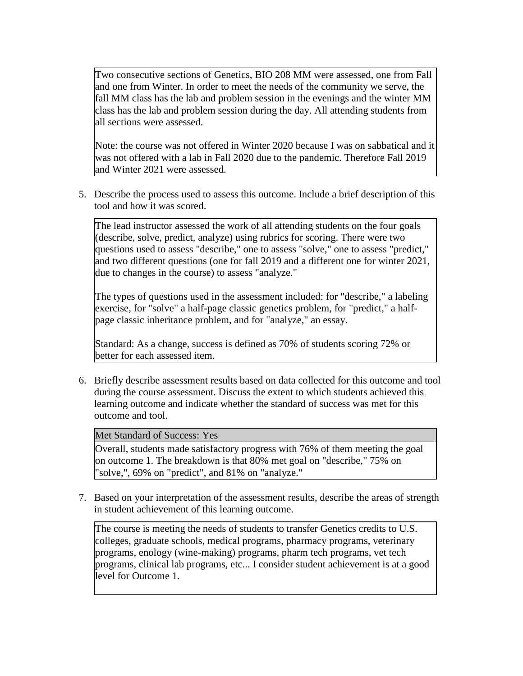Two consecutive sections of Genetics, BIO 208 MM were assessed, one from Fall and one from Winter. In order to meet the needs of the community we serve, the fall MM class has the lab and problem session in the evenings and the winter MM class has the lab and problem session during the day. All attending students from all sections were assessed.

Note: the course was not offered in Winter 2020 because I was on sabbatical and it was not offered with a lab in Fall 2020 due to the pandemic. Therefore Fall 2019 and Winter 2021 were assessed.

5. Describe the process used to assess this outcome. Include a brief description of this tool and how it was scored.

The lead instructor assessed the work of all attending students on the four goals (describe, solve, predict, analyze) using rubrics for scoring. There were two questions used to assess "describe," one to assess "solve," one to assess "predict," and two different questions (one for fall 2019 and a different one for winter 2021, due to changes in the course) to assess "analyze."

The types of questions used in the assessment included: for "describe," a labeling exercise, for "solve" a half-page classic genetics problem, for "predict," a halfpage classic inheritance problem, and for "analyze," an essay.

Standard: As a change, success is defined as 70% of students scoring 72% or better for each assessed item.

6. Briefly describe assessment results based on data collected for this outcome and tool during the course assessment. Discuss the extent to which students achieved this learning outcome and indicate whether the standard of success was met for this outcome and tool.

Met Standard of Success: Yes

Overall, students made satisfactory progress with 76% of them meeting the goal on outcome 1. The breakdown is that 80% met goal on "describe," 75% on "solve,", 69% on "predict", and 81% on "analyze."

7. Based on your interpretation of the assessment results, describe the areas of strength in student achievement of this learning outcome.

The course is meeting the needs of students to transfer Genetics credits to U.S. colleges, graduate schools, medical programs, pharmacy programs, veterinary programs, enology (wine-making) programs, pharm tech programs, vet tech programs, clinical lab programs, etc... I consider student achievement is at a good level for Outcome 1.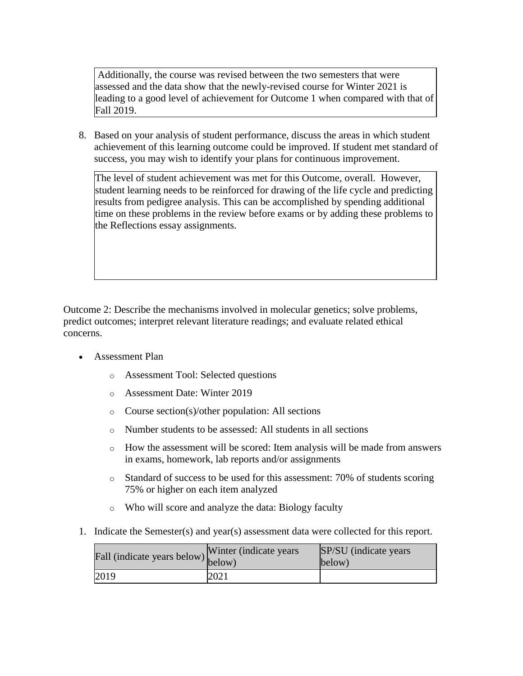Additionally, the course was revised between the two semesters that were assessed and the data show that the newly-revised course for Winter 2021 is leading to a good level of achievement for Outcome 1 when compared with that of Fall 2019.

8. Based on your analysis of student performance, discuss the areas in which student achievement of this learning outcome could be improved. If student met standard of success, you may wish to identify your plans for continuous improvement.

The level of student achievement was met for this Outcome, overall. However, student learning needs to be reinforced for drawing of the life cycle and predicting results from pedigree analysis. This can be accomplished by spending additional time on these problems in the review before exams or by adding these problems to the Reflections essay assignments.

Outcome 2: Describe the mechanisms involved in molecular genetics; solve problems, predict outcomes; interpret relevant literature readings; and evaluate related ethical concerns.

- Assessment Plan
	- o Assessment Tool: Selected questions
	- o Assessment Date: Winter 2019
	- o Course section(s)/other population: All sections
	- o Number students to be assessed: All students in all sections
	- o How the assessment will be scored: Item analysis will be made from answers in exams, homework, lab reports and/or assignments
	- o Standard of success to be used for this assessment: 70% of students scoring 75% or higher on each item analyzed
	- o Who will score and analyze the data: Biology faculty
- 1. Indicate the Semester(s) and year(s) assessment data were collected for this report.

| Fall (indicate years below) below) | Winter (indicate years) | SP/SU (indicate years)<br>below) |
|------------------------------------|-------------------------|----------------------------------|
| 2019                               | 2021                    |                                  |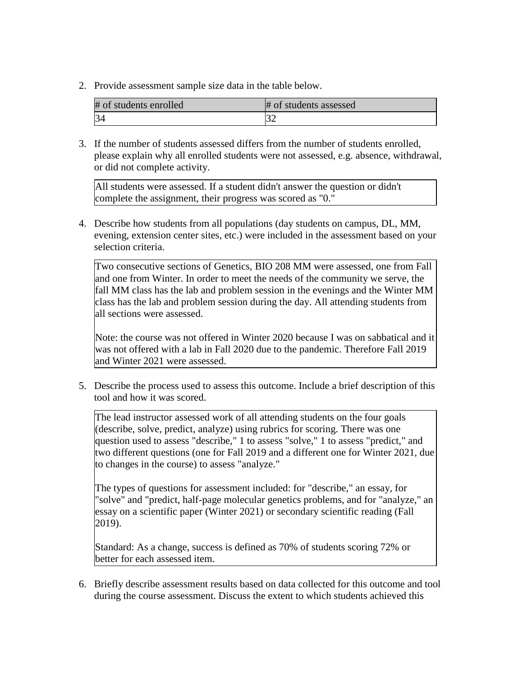2. Provide assessment sample size data in the table below.

| # of students enrolled | # of students assessed |
|------------------------|------------------------|
|                        |                        |

3. If the number of students assessed differs from the number of students enrolled, please explain why all enrolled students were not assessed, e.g. absence, withdrawal, or did not complete activity.

All students were assessed. If a student didn't answer the question or didn't complete the assignment, their progress was scored as "0."

4. Describe how students from all populations (day students on campus, DL, MM, evening, extension center sites, etc.) were included in the assessment based on your selection criteria.

Two consecutive sections of Genetics, BIO 208 MM were assessed, one from Fall and one from Winter. In order to meet the needs of the community we serve, the fall MM class has the lab and problem session in the evenings and the Winter MM class has the lab and problem session during the day. All attending students from all sections were assessed.

Note: the course was not offered in Winter 2020 because I was on sabbatical and it was not offered with a lab in Fall 2020 due to the pandemic. Therefore Fall 2019 and Winter 2021 were assessed.

5. Describe the process used to assess this outcome. Include a brief description of this tool and how it was scored.

The lead instructor assessed work of all attending students on the four goals (describe, solve, predict, analyze) using rubrics for scoring. There was one question used to assess "describe," 1 to assess "solve," 1 to assess "predict," and two different questions (one for Fall 2019 and a different one for Winter 2021, due to changes in the course) to assess "analyze."

The types of questions for assessment included: for "describe," an essay, for "solve" and "predict, half-page molecular genetics problems, and for "analyze," an essay on a scientific paper (Winter 2021) or secondary scientific reading (Fall 2019).

Standard: As a change, success is defined as 70% of students scoring 72% or better for each assessed item.

6. Briefly describe assessment results based on data collected for this outcome and tool during the course assessment. Discuss the extent to which students achieved this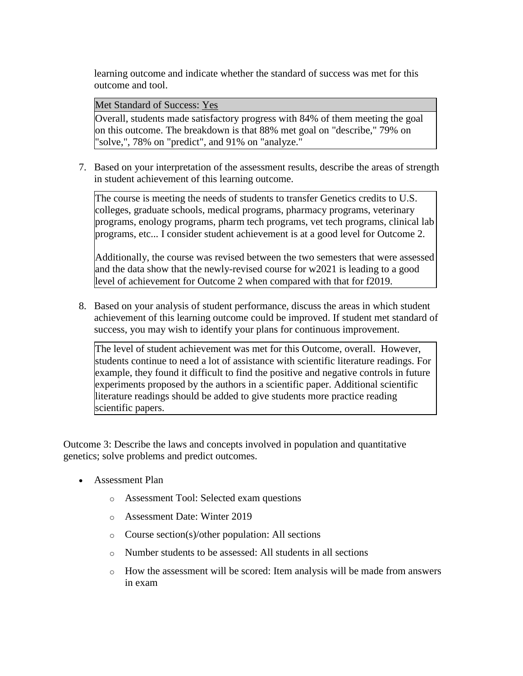learning outcome and indicate whether the standard of success was met for this outcome and tool.

Met Standard of Success: Yes

Overall, students made satisfactory progress with 84% of them meeting the goal on this outcome. The breakdown is that 88% met goal on "describe," 79% on "solve,", 78% on "predict", and 91% on "analyze."

7. Based on your interpretation of the assessment results, describe the areas of strength in student achievement of this learning outcome.

The course is meeting the needs of students to transfer Genetics credits to U.S. colleges, graduate schools, medical programs, pharmacy programs, veterinary programs, enology programs, pharm tech programs, vet tech programs, clinical lab programs, etc... I consider student achievement is at a good level for Outcome 2.

Additionally, the course was revised between the two semesters that were assessed and the data show that the newly-revised course for w2021 is leading to a good level of achievement for Outcome 2 when compared with that for f2019.

8. Based on your analysis of student performance, discuss the areas in which student achievement of this learning outcome could be improved. If student met standard of success, you may wish to identify your plans for continuous improvement.

The level of student achievement was met for this Outcome, overall. However, students continue to need a lot of assistance with scientific literature readings. For example, they found it difficult to find the positive and negative controls in future experiments proposed by the authors in a scientific paper. Additional scientific literature readings should be added to give students more practice reading scientific papers.

Outcome 3: Describe the laws and concepts involved in population and quantitative genetics; solve problems and predict outcomes.

- Assessment Plan
	- o Assessment Tool: Selected exam questions
	- o Assessment Date: Winter 2019
	- o Course section(s)/other population: All sections
	- o Number students to be assessed: All students in all sections
	- o How the assessment will be scored: Item analysis will be made from answers in exam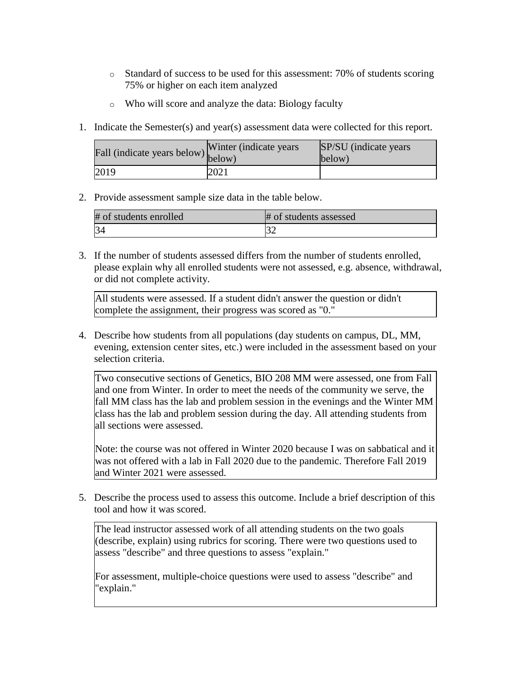- o Standard of success to be used for this assessment: 70% of students scoring 75% or higher on each item analyzed
- o Who will score and analyze the data: Biology faculty
- 1. Indicate the Semester(s) and year(s) assessment data were collected for this report.

| riall (indicate years below) below) | Winter (indicate years) | SP/SU (indicate years)<br>below) |
|-------------------------------------|-------------------------|----------------------------------|
| 2019                                | 2021                    |                                  |

2. Provide assessment sample size data in the table below.

| # of students enrolled | # of students assessed |
|------------------------|------------------------|
|                        |                        |

3. If the number of students assessed differs from the number of students enrolled, please explain why all enrolled students were not assessed, e.g. absence, withdrawal, or did not complete activity.

All students were assessed. If a student didn't answer the question or didn't complete the assignment, their progress was scored as "0."

4. Describe how students from all populations (day students on campus, DL, MM, evening, extension center sites, etc.) were included in the assessment based on your selection criteria.

Two consecutive sections of Genetics, BIO 208 MM were assessed, one from Fall and one from Winter. In order to meet the needs of the community we serve, the fall MM class has the lab and problem session in the evenings and the Winter MM class has the lab and problem session during the day. All attending students from all sections were assessed.

Note: the course was not offered in Winter 2020 because I was on sabbatical and it was not offered with a lab in Fall 2020 due to the pandemic. Therefore Fall 2019 and Winter 2021 were assessed.

5. Describe the process used to assess this outcome. Include a brief description of this tool and how it was scored.

The lead instructor assessed work of all attending students on the two goals (describe, explain) using rubrics for scoring. There were two questions used to assess "describe" and three questions to assess "explain."

For assessment, multiple-choice questions were used to assess "describe" and "explain."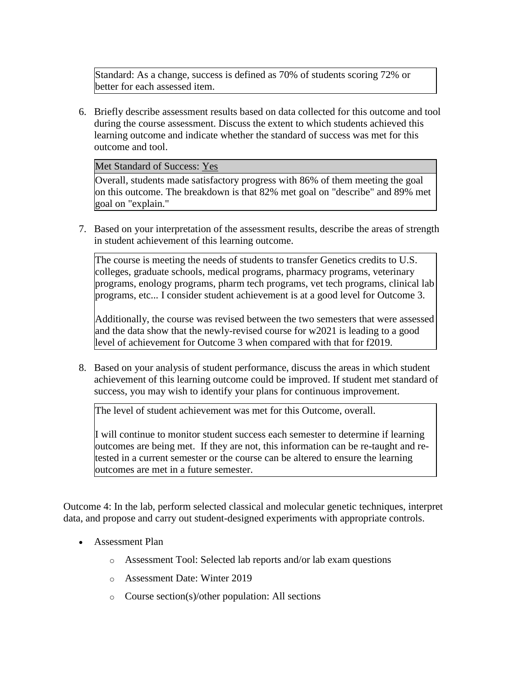Standard: As a change, success is defined as 70% of students scoring 72% or better for each assessed item.

6. Briefly describe assessment results based on data collected for this outcome and tool during the course assessment. Discuss the extent to which students achieved this learning outcome and indicate whether the standard of success was met for this outcome and tool.

Met Standard of Success: Yes

Overall, students made satisfactory progress with 86% of them meeting the goal on this outcome. The breakdown is that 82% met goal on "describe" and 89% met goal on "explain."

7. Based on your interpretation of the assessment results, describe the areas of strength in student achievement of this learning outcome.

The course is meeting the needs of students to transfer Genetics credits to U.S. colleges, graduate schools, medical programs, pharmacy programs, veterinary programs, enology programs, pharm tech programs, vet tech programs, clinical lab programs, etc... I consider student achievement is at a good level for Outcome 3.

Additionally, the course was revised between the two semesters that were assessed and the data show that the newly-revised course for w2021 is leading to a good level of achievement for Outcome 3 when compared with that for f2019.

8. Based on your analysis of student performance, discuss the areas in which student achievement of this learning outcome could be improved. If student met standard of success, you may wish to identify your plans for continuous improvement.

The level of student achievement was met for this Outcome, overall.

I will continue to monitor student success each semester to determine if learning outcomes are being met. If they are not, this information can be re-taught and retested in a current semester or the course can be altered to ensure the learning outcomes are met in a future semester.

Outcome 4: In the lab, perform selected classical and molecular genetic techniques, interpret data, and propose and carry out student-designed experiments with appropriate controls.

- Assessment Plan
	- o Assessment Tool: Selected lab reports and/or lab exam questions
	- o Assessment Date: Winter 2019
	- o Course section(s)/other population: All sections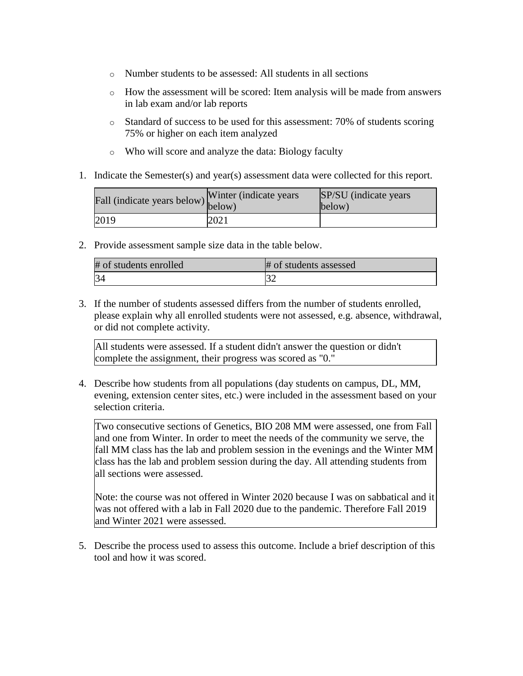- o Number students to be assessed: All students in all sections
- o How the assessment will be scored: Item analysis will be made from answers in lab exam and/or lab reports
- o Standard of success to be used for this assessment: 70% of students scoring 75% or higher on each item analyzed
- o Who will score and analyze the data: Biology faculty
- 1. Indicate the Semester(s) and year(s) assessment data were collected for this report.

| Fall (indicate years below) below) | Winter (indicate years) | SP/SU (indicate years)<br>below) |
|------------------------------------|-------------------------|----------------------------------|
| 2019                               | 2021                    |                                  |

2. Provide assessment sample size data in the table below.

| # of students enrolled | # of students assessed |
|------------------------|------------------------|
| 34                     |                        |

3. If the number of students assessed differs from the number of students enrolled, please explain why all enrolled students were not assessed, e.g. absence, withdrawal, or did not complete activity.

All students were assessed. If a student didn't answer the question or didn't complete the assignment, their progress was scored as "0."

4. Describe how students from all populations (day students on campus, DL, MM, evening, extension center sites, etc.) were included in the assessment based on your selection criteria.

Two consecutive sections of Genetics, BIO 208 MM were assessed, one from Fall and one from Winter. In order to meet the needs of the community we serve, the fall MM class has the lab and problem session in the evenings and the Winter MM class has the lab and problem session during the day. All attending students from all sections were assessed.

Note: the course was not offered in Winter 2020 because I was on sabbatical and it was not offered with a lab in Fall 2020 due to the pandemic. Therefore Fall 2019 and Winter 2021 were assessed.

5. Describe the process used to assess this outcome. Include a brief description of this tool and how it was scored.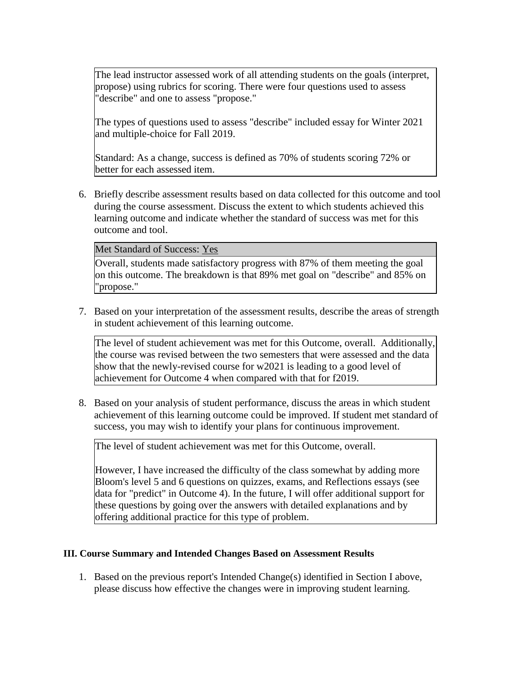The lead instructor assessed work of all attending students on the goals (interpret, propose) using rubrics for scoring. There were four questions used to assess "describe" and one to assess "propose."

The types of questions used to assess "describe" included essay for Winter 2021 and multiple-choice for Fall 2019.

Standard: As a change, success is defined as 70% of students scoring 72% or better for each assessed item.

6. Briefly describe assessment results based on data collected for this outcome and tool during the course assessment. Discuss the extent to which students achieved this learning outcome and indicate whether the standard of success was met for this outcome and tool.

#### Met Standard of Success: Yes

Overall, students made satisfactory progress with 87% of them meeting the goal on this outcome. The breakdown is that 89% met goal on "describe" and 85% on "propose."

7. Based on your interpretation of the assessment results, describe the areas of strength in student achievement of this learning outcome.

The level of student achievement was met for this Outcome, overall. Additionally, the course was revised between the two semesters that were assessed and the data show that the newly-revised course for w2021 is leading to a good level of achievement for Outcome 4 when compared with that for f2019.

8. Based on your analysis of student performance, discuss the areas in which student achievement of this learning outcome could be improved. If student met standard of success, you may wish to identify your plans for continuous improvement.

The level of student achievement was met for this Outcome, overall.

However, I have increased the difficulty of the class somewhat by adding more Bloom's level 5 and 6 questions on quizzes, exams, and Reflections essays (see data for "predict" in Outcome 4). In the future, I will offer additional support for these questions by going over the answers with detailed explanations and by offering additional practice for this type of problem.

# **III. Course Summary and Intended Changes Based on Assessment Results**

1. Based on the previous report's Intended Change(s) identified in Section I above, please discuss how effective the changes were in improving student learning.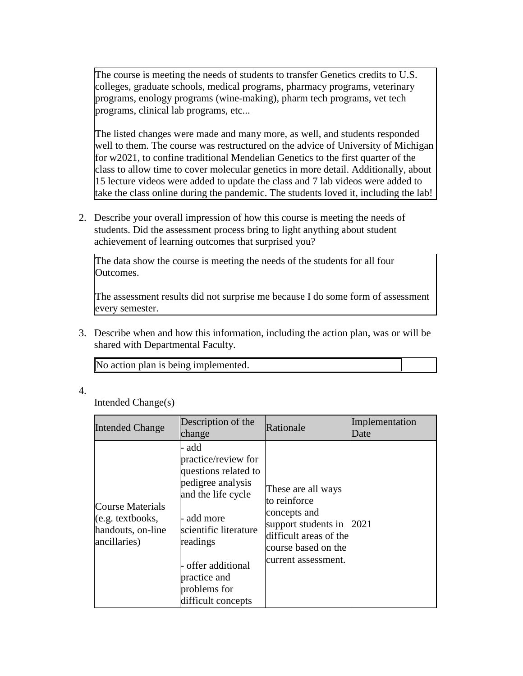The course is meeting the needs of students to transfer Genetics credits to U.S. colleges, graduate schools, medical programs, pharmacy programs, veterinary programs, enology programs (wine-making), pharm tech programs, vet tech programs, clinical lab programs, etc...

The listed changes were made and many more, as well, and students responded well to them. The course was restructured on the advice of University of Michigan for w2021, to confine traditional Mendelian Genetics to the first quarter of the class to allow time to cover molecular genetics in more detail. Additionally, about 15 lecture videos were added to update the class and 7 lab videos were added to take the class online during the pandemic. The students loved it, including the lab!

2. Describe your overall impression of how this course is meeting the needs of students. Did the assessment process bring to light anything about student achievement of learning outcomes that surprised you?

The data show the course is meeting the needs of the students for all four Outcomes.

The assessment results did not surprise me because I do some form of assessment every semester.

3. Describe when and how this information, including the action plan, was or will be shared with Departmental Faculty.

| No action plan is being implemented. |
|--------------------------------------|
|--------------------------------------|

# 4.

Intended Change(s)

| <b>Intended Change</b>                                                             | Description of the<br>change                                                                                                                                                                                                   | Rationale                                                                                                                                         | Implementation<br>Date |
|------------------------------------------------------------------------------------|--------------------------------------------------------------------------------------------------------------------------------------------------------------------------------------------------------------------------------|---------------------------------------------------------------------------------------------------------------------------------------------------|------------------------|
| Course Materials<br>$(e.g. \text{textbooks},$<br>handouts, on-line<br>ancillaries) | - add<br>practice/review for<br>questions related to<br>pedigree analysis<br>and the life cycle<br>- add more<br>scientific literature<br>readings<br>- offer additional<br>practice and<br>problems for<br>difficult concepts | These are all ways<br>to reinforce<br>concepts and<br>support students in<br>difficult areas of the<br>course based on the<br>current assessment. | 2021                   |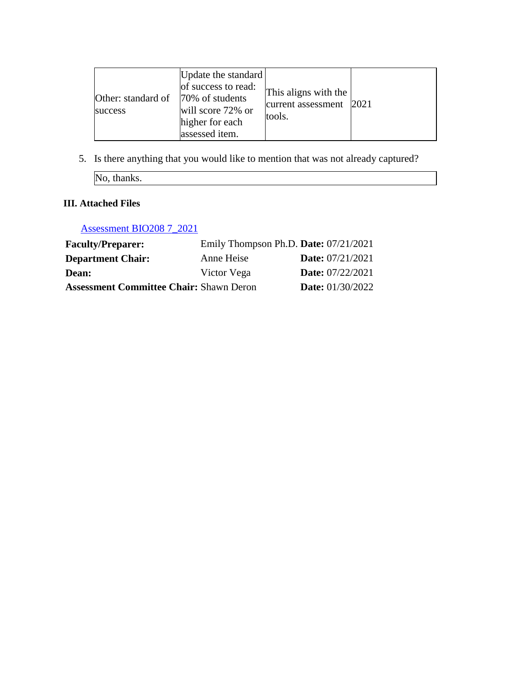| Other: standard of<br>success | Update the standard<br>of success to read:<br>70% of students<br>will score 72% or<br>higher for each<br>assessed item. | This aligns with the<br>current assessment<br>tools. | 2021 |
|-------------------------------|-------------------------------------------------------------------------------------------------------------------------|------------------------------------------------------|------|
|-------------------------------|-------------------------------------------------------------------------------------------------------------------------|------------------------------------------------------|------|

5. Is there anything that you would like to mention that was not already captured?

No, thanks.

# **III. Attached Files**

[Assessment BIO208 7\\_2021](documents/assessment%20BIO%20208%207_2021.xlsx)

| <b>Faculty/Preparer:</b>                       | Emily Thompson Ph.D. Date: $07/21/2021$ |                         |
|------------------------------------------------|-----------------------------------------|-------------------------|
| <b>Department Chair:</b>                       | Anne Heise                              | <b>Date:</b> 07/21/2021 |
| Dean:                                          | Victor Vega                             | <b>Date:</b> 07/22/2021 |
| <b>Assessment Committee Chair: Shawn Deron</b> |                                         | <b>Date:</b> 01/30/2022 |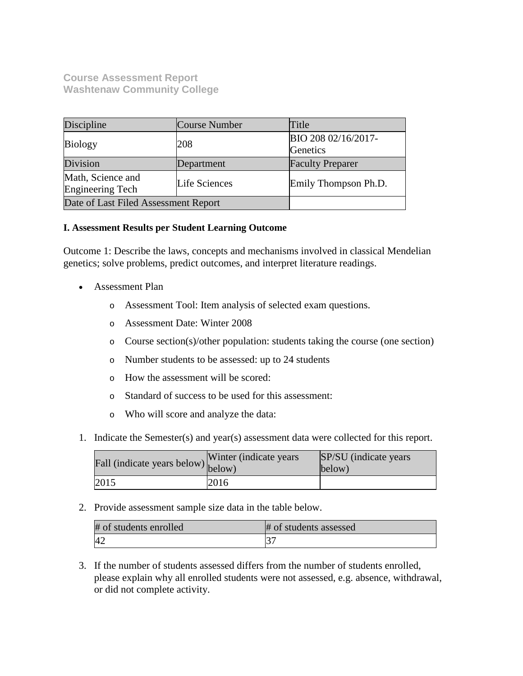# **Course Assessment Report Washtenaw Community College**

| Discipline                                             | <b>Course Number</b> | Title                           |
|--------------------------------------------------------|----------------------|---------------------------------|
| <b>Biology</b>                                         | 208                  | BIO 208 02/16/2017-<br>Genetics |
| Division                                               | Department           | <b>Faculty Preparer</b>         |
| Math, Science and<br>Life Sciences<br>Engineering Tech |                      | Emily Thompson Ph.D.            |
| Date of Last Filed Assessment Report                   |                      |                                 |

# **I. Assessment Results per Student Learning Outcome**

Outcome 1: Describe the laws, concepts and mechanisms involved in classical Mendelian genetics; solve problems, predict outcomes, and interpret literature readings.

- Assessment Plan
	- o Assessment Tool: Item analysis of selected exam questions.
	- o Assessment Date: Winter 2008
	- o Course section(s)/other population: students taking the course (one section)
	- o Number students to be assessed: up to 24 students
	- o How the assessment will be scored:
	- o Standard of success to be used for this assessment:
	- o Who will score and analyze the data:
- 1. Indicate the Semester(s) and year(s) assessment data were collected for this report.

| Fall (indicate years below) below) | Winter (indicate years) | SP/SU (indicate years)<br>below) |
|------------------------------------|-------------------------|----------------------------------|
| 2015                               | 2016                    |                                  |

2. Provide assessment sample size data in the table below.

| # of students enrolled | # of students assessed |
|------------------------|------------------------|
| 4∼                     |                        |

3. If the number of students assessed differs from the number of students enrolled, please explain why all enrolled students were not assessed, e.g. absence, withdrawal, or did not complete activity.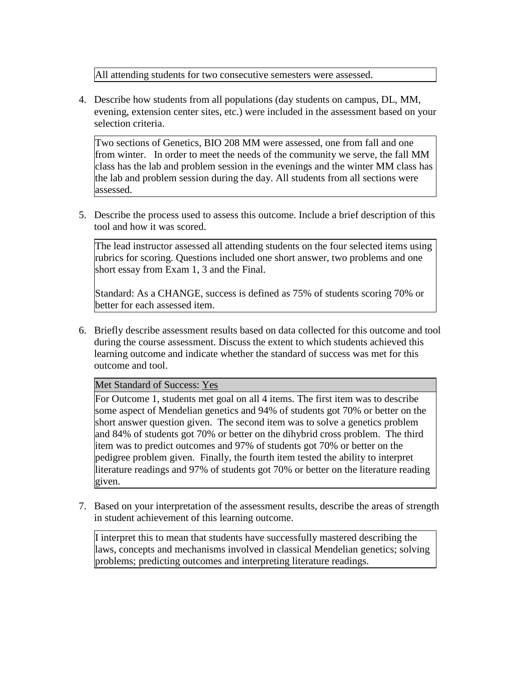All attending students for two consecutive semesters were assessed.

4. Describe how students from all populations (day students on campus, DL, MM, evening, extension center sites, etc.) were included in the assessment based on your selection criteria.

Two sections of Genetics, BIO 208 MM were assessed, one from fall and one from winter. In order to meet the needs of the community we serve, the fall MM class has the lab and problem session in the evenings and the winter MM class has the lab and problem session during the day. All students from all sections were assessed.

5. Describe the process used to assess this outcome. Include a brief description of this tool and how it was scored.

The lead instructor assessed all attending students on the four selected items using rubrics for scoring. Questions included one short answer, two problems and one short essay from Exam 1, 3 and the Final.

Standard: As a CHANGE, success is defined as 75% of students scoring 70% or better for each assessed item.

6. Briefly describe assessment results based on data collected for this outcome and tool during the course assessment. Discuss the extent to which students achieved this learning outcome and indicate whether the standard of success was met for this outcome and tool.

Met Standard of Success: Yes

For Outcome 1, students met goal on all 4 items. The first item was to describe some aspect of Mendelian genetics and 94% of students got 70% or better on the short answer question given. The second item was to solve a genetics problem and 84% of students got 70% or better on the dihybrid cross problem. The third item was to predict outcomes and 97% of students got 70% or better on the pedigree problem given. Finally, the fourth item tested the ability to interpret literature readings and 97% of students got 70% or better on the literature reading given.

7. Based on your interpretation of the assessment results, describe the areas of strength in student achievement of this learning outcome.

I interpret this to mean that students have successfully mastered describing the laws, concepts and mechanisms involved in classical Mendelian genetics; solving problems; predicting outcomes and interpreting literature readings.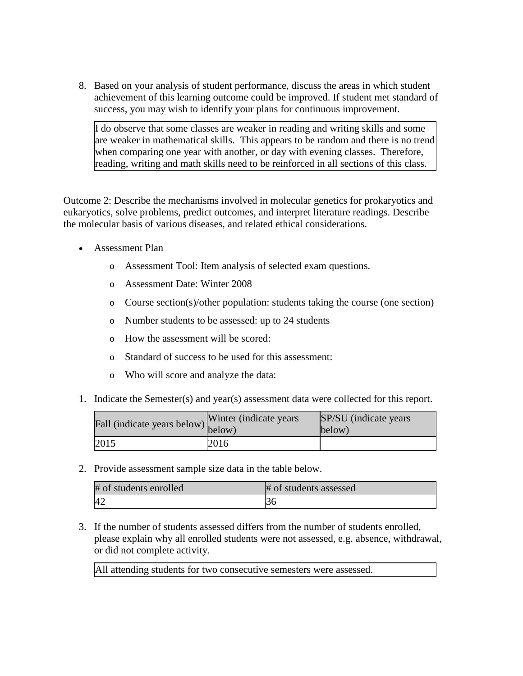8. Based on your analysis of student performance, discuss the areas in which student achievement of this learning outcome could be improved. If student met standard of success, you may wish to identify your plans for continuous improvement.

I do observe that some classes are weaker in reading and writing skills and some are weaker in mathematical skills. This appears to be random and there is no trend when comparing one year with another, or day with evening classes. Therefore, reading, writing and math skills need to be reinforced in all sections of this class.

Outcome 2: Describe the mechanisms involved in molecular genetics for prokaryotics and eukaryotics, solve problems, predict outcomes, and interpret literature readings. Describe the molecular basis of various diseases, and related ethical considerations.

- Assessment Plan
	- o Assessment Tool: Item analysis of selected exam questions.
	- o Assessment Date: Winter 2008
	- o Course section(s)/other population: students taking the course (one section)
	- o Number students to be assessed: up to 24 students
	- o How the assessment will be scored:
	- o Standard of success to be used for this assessment:
	- o Who will score and analyze the data:
- 1. Indicate the Semester(s) and year(s) assessment data were collected for this report.

| r'all (indicate years below) below) | Winter (indicate years) | SP/SU (indicate years)<br>below) |
|-------------------------------------|-------------------------|----------------------------------|
| 2015                                | 2016                    |                                  |

2. Provide assessment sample size data in the table below.

| # of students enrolled | # of students assessed |
|------------------------|------------------------|
| 42                     | эι                     |

3. If the number of students assessed differs from the number of students enrolled, please explain why all enrolled students were not assessed, e.g. absence, withdrawal, or did not complete activity.

All attending students for two consecutive semesters were assessed.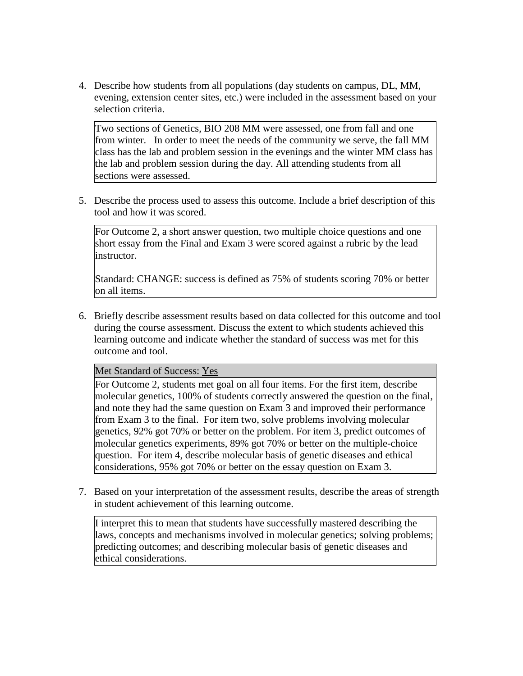4. Describe how students from all populations (day students on campus, DL, MM, evening, extension center sites, etc.) were included in the assessment based on your selection criteria.

Two sections of Genetics, BIO 208 MM were assessed, one from fall and one from winter. In order to meet the needs of the community we serve, the fall MM class has the lab and problem session in the evenings and the winter MM class has the lab and problem session during the day. All attending students from all sections were assessed.

5. Describe the process used to assess this outcome. Include a brief description of this tool and how it was scored.

For Outcome 2, a short answer question, two multiple choice questions and one short essay from the Final and Exam 3 were scored against a rubric by the lead instructor.

Standard: CHANGE: success is defined as 75% of students scoring 70% or better on all items.

6. Briefly describe assessment results based on data collected for this outcome and tool during the course assessment. Discuss the extent to which students achieved this learning outcome and indicate whether the standard of success was met for this outcome and tool.

# Met Standard of Success: Yes

For Outcome 2, students met goal on all four items. For the first item, describe molecular genetics, 100% of students correctly answered the question on the final, and note they had the same question on Exam 3 and improved their performance from Exam 3 to the final. For item two, solve problems involving molecular genetics, 92% got 70% or better on the problem. For item 3, predict outcomes of molecular genetics experiments, 89% got 70% or better on the multiple-choice question. For item 4, describe molecular basis of genetic diseases and ethical considerations, 95% got 70% or better on the essay question on Exam 3.

7. Based on your interpretation of the assessment results, describe the areas of strength in student achievement of this learning outcome.

I interpret this to mean that students have successfully mastered describing the laws, concepts and mechanisms involved in molecular genetics; solving problems; predicting outcomes; and describing molecular basis of genetic diseases and ethical considerations.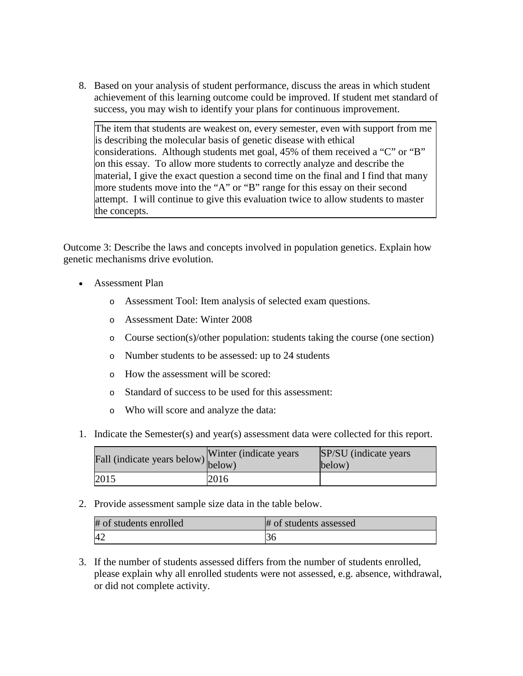8. Based on your analysis of student performance, discuss the areas in which student achievement of this learning outcome could be improved. If student met standard of success, you may wish to identify your plans for continuous improvement.

The item that students are weakest on, every semester, even with support from me is describing the molecular basis of genetic disease with ethical considerations. Although students met goal, 45% of them received a "C" or "B" on this essay. To allow more students to correctly analyze and describe the material, I give the exact question a second time on the final and I find that many more students move into the "A" or "B" range for this essay on their second attempt. I will continue to give this evaluation twice to allow students to master the concepts.

Outcome 3: Describe the laws and concepts involved in population genetics. Explain how genetic mechanisms drive evolution.

- Assessment Plan
	- o Assessment Tool: Item analysis of selected exam questions.
	- o Assessment Date: Winter 2008
	- o Course section(s)/other population: students taking the course (one section)
	- o Number students to be assessed: up to 24 students
	- o How the assessment will be scored:
	- o Standard of success to be used for this assessment:
	- o Who will score and analyze the data:
- 1. Indicate the Semester(s) and year(s) assessment data were collected for this report.

| Fall (indicate years below) below) | Winter (indicate years) | SP/SU (indicate years)<br>below) |
|------------------------------------|-------------------------|----------------------------------|
| 2015                               | 2016                    |                                  |

2. Provide assessment sample size data in the table below.

| # of students enrolled | # of students assessed |
|------------------------|------------------------|
| 4 <sub>4</sub>         |                        |

3. If the number of students assessed differs from the number of students enrolled, please explain why all enrolled students were not assessed, e.g. absence, withdrawal, or did not complete activity.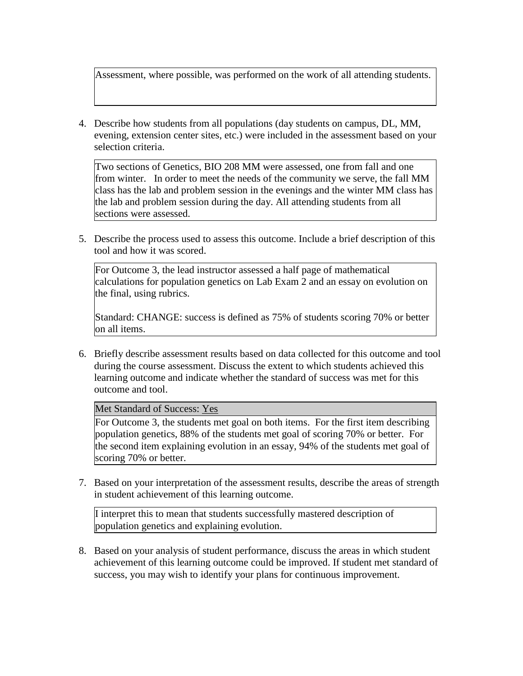Assessment, where possible, was performed on the work of all attending students.

4. Describe how students from all populations (day students on campus, DL, MM, evening, extension center sites, etc.) were included in the assessment based on your selection criteria.

Two sections of Genetics, BIO 208 MM were assessed, one from fall and one from winter. In order to meet the needs of the community we serve, the fall MM class has the lab and problem session in the evenings and the winter MM class has the lab and problem session during the day. All attending students from all sections were assessed.

5. Describe the process used to assess this outcome. Include a brief description of this tool and how it was scored.

For Outcome 3, the lead instructor assessed a half page of mathematical calculations for population genetics on Lab Exam 2 and an essay on evolution on the final, using rubrics.

Standard: CHANGE: success is defined as 75% of students scoring 70% or better on all items.

6. Briefly describe assessment results based on data collected for this outcome and tool during the course assessment. Discuss the extent to which students achieved this learning outcome and indicate whether the standard of success was met for this outcome and tool.

Met Standard of Success: Yes

For Outcome 3, the students met goal on both items. For the first item describing population genetics, 88% of the students met goal of scoring 70% or better. For the second item explaining evolution in an essay, 94% of the students met goal of scoring 70% or better.

7. Based on your interpretation of the assessment results, describe the areas of strength in student achievement of this learning outcome.

I interpret this to mean that students successfully mastered description of population genetics and explaining evolution.

8. Based on your analysis of student performance, discuss the areas in which student achievement of this learning outcome could be improved. If student met standard of success, you may wish to identify your plans for continuous improvement.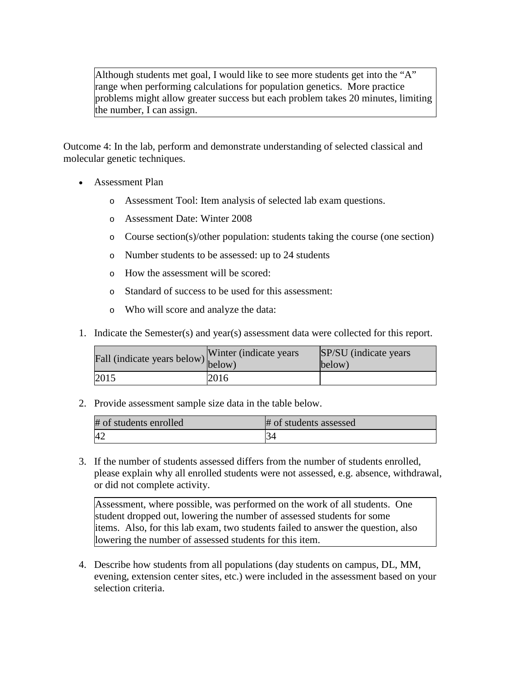Although students met goal, I would like to see more students get into the "A" range when performing calculations for population genetics. More practice problems might allow greater success but each problem takes 20 minutes, limiting the number, I can assign.

Outcome 4: In the lab, perform and demonstrate understanding of selected classical and molecular genetic techniques.

- Assessment Plan
	- o Assessment Tool: Item analysis of selected lab exam questions.
	- o Assessment Date: Winter 2008
	- o Course section(s)/other population: students taking the course (one section)
	- o Number students to be assessed: up to 24 students
	- o How the assessment will be scored:
	- o Standard of success to be used for this assessment:
	- o Who will score and analyze the data:
- 1. Indicate the Semester(s) and year(s) assessment data were collected for this report.

| Fall (indicate years below) $\begin{bmatrix}$ while | Winter (indicate years) | SP/SU (indicate years)<br>below) |
|-----------------------------------------------------|-------------------------|----------------------------------|
| 2015                                                | 2016                    |                                  |

2. Provide assessment sample size data in the table below.

| # of students enrolled | # of students assessed |
|------------------------|------------------------|
| 42                     |                        |

3. If the number of students assessed differs from the number of students enrolled, please explain why all enrolled students were not assessed, e.g. absence, withdrawal, or did not complete activity.

Assessment, where possible, was performed on the work of all students. One student dropped out, lowering the number of assessed students for some items. Also, for this lab exam, two students failed to answer the question, also lowering the number of assessed students for this item.

4. Describe how students from all populations (day students on campus, DL, MM, evening, extension center sites, etc.) were included in the assessment based on your selection criteria.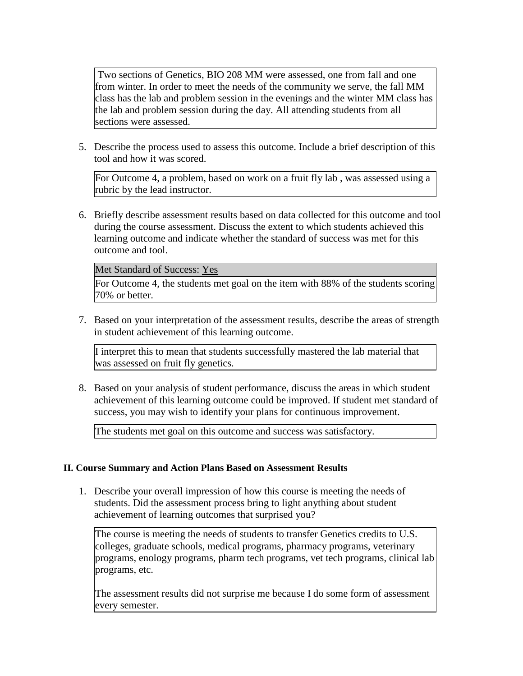Two sections of Genetics, BIO 208 MM were assessed, one from fall and one from winter. In order to meet the needs of the community we serve, the fall MM class has the lab and problem session in the evenings and the winter MM class has the lab and problem session during the day. All attending students from all sections were assessed.

5. Describe the process used to assess this outcome. Include a brief description of this tool and how it was scored.

For Outcome 4, a problem, based on work on a fruit fly lab , was assessed using a rubric by the lead instructor.

6. Briefly describe assessment results based on data collected for this outcome and tool during the course assessment. Discuss the extent to which students achieved this learning outcome and indicate whether the standard of success was met for this outcome and tool.

Met Standard of Success: Yes

For Outcome 4, the students met goal on the item with 88% of the students scoring 70% or better.

7. Based on your interpretation of the assessment results, describe the areas of strength in student achievement of this learning outcome.

I interpret this to mean that students successfully mastered the lab material that was assessed on fruit fly genetics.

8. Based on your analysis of student performance, discuss the areas in which student achievement of this learning outcome could be improved. If student met standard of success, you may wish to identify your plans for continuous improvement.

The students met goal on this outcome and success was satisfactory.

# **II. Course Summary and Action Plans Based on Assessment Results**

1. Describe your overall impression of how this course is meeting the needs of students. Did the assessment process bring to light anything about student achievement of learning outcomes that surprised you?

The course is meeting the needs of students to transfer Genetics credits to U.S. colleges, graduate schools, medical programs, pharmacy programs, veterinary programs, enology programs, pharm tech programs, vet tech programs, clinical lab programs, etc.

The assessment results did not surprise me because I do some form of assessment every semester.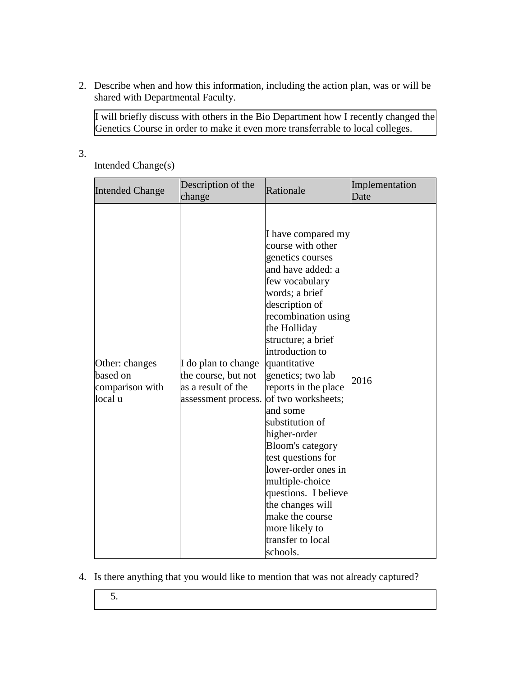2. Describe when and how this information, including the action plan, was or will be shared with Departmental Faculty.

I will briefly discuss with others in the Bio Department how I recently changed the Genetics Course in order to make it even more transferrable to local colleges.

3.

Intended Change(s)

| <b>Intended Change</b>                                   | Description of the<br>change                                                            | Rationale                                                                                                                                                                                                                                                                                                                                                                                                                                                                                                                                                             | Implementation<br>Date |
|----------------------------------------------------------|-----------------------------------------------------------------------------------------|-----------------------------------------------------------------------------------------------------------------------------------------------------------------------------------------------------------------------------------------------------------------------------------------------------------------------------------------------------------------------------------------------------------------------------------------------------------------------------------------------------------------------------------------------------------------------|------------------------|
| Other: changes<br>based on<br>comparison with<br>local u | I do plan to change<br>the course, but not<br>as a result of the<br>assessment process. | I have compared my<br>course with other<br>genetics courses<br>and have added: a<br>few vocabulary<br>words; a brief<br>description of<br>recombination using<br>the Holliday<br>structure; a brief<br>introduction to<br>quantitative<br>genetics; two lab<br>reports in the place<br>of two worksheets;<br>and some<br>substitution of<br>higher-order<br><b>Bloom's category</b><br>test questions for<br>lower-order ones in<br>multiple-choice<br>questions. I believe<br>the changes will<br>make the course<br>more likely to<br>transfer to local<br>schools. | 2016                   |

- 4. Is there anything that you would like to mention that was not already captured?
	- 5.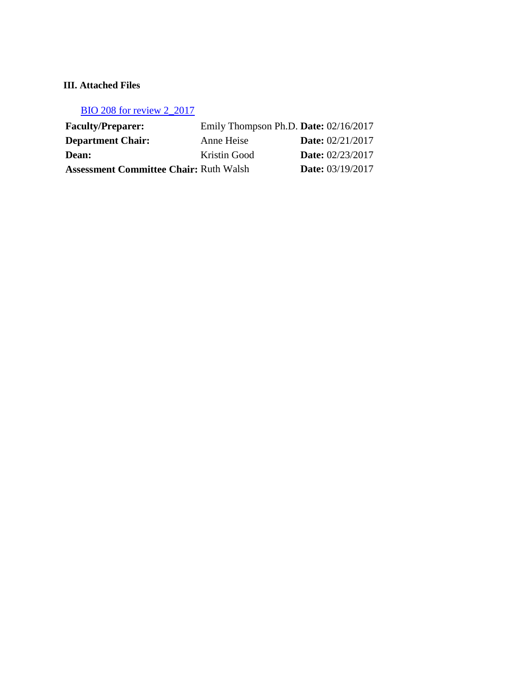# **III. Attached Files**

BIO 208 for review 2\_2017

| <b>Faculty/Preparer:</b>                      | Emily Thompson Ph.D. Date: $02/16/2017$ |                           |
|-----------------------------------------------|-----------------------------------------|---------------------------|
| <b>Department Chair:</b>                      | Anne Heise                              | <b>Date:</b> $02/21/2017$ |
| <b>Dean:</b>                                  | Kristin Good                            | <b>Date:</b> 02/23/2017   |
| <b>Assessment Committee Chair: Ruth Walsh</b> |                                         | <b>Date:</b> 03/19/2017   |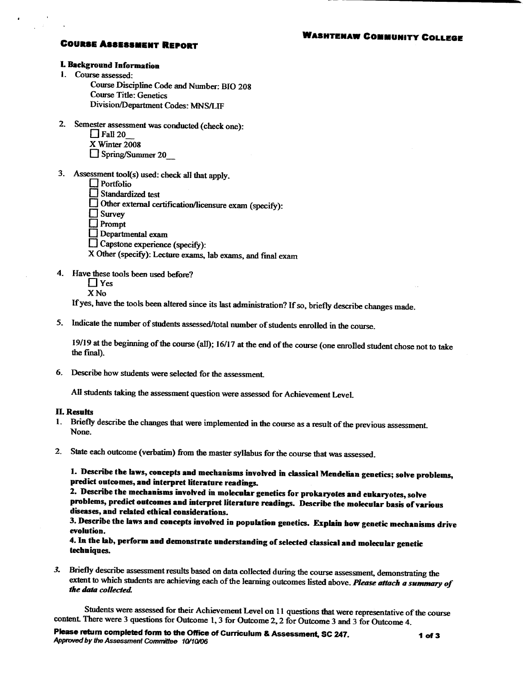#### **WASHTENAW COMMUNITY COLLEGE**

#### **COURSE ASSESSMENT REPORT**

#### **I. Background Information**

- 1. Course assessed:
	- Course Discipline Code and Number: BIO 208 **Course Title: Genetics**
	- Division/Department Codes: MNS/LIF
- 2. Semester assessment was conducted (check one):
	- $\Box$  Fall 20
	- X Winter 2008
	- Spring/Summer 20
- 3. Assessment tool(s) used: check all that apply.
	- $\Box$  Portfolio
	- Standardized test
	- $\Box$  Other external certification/licensure exam (specify):
	- $\Box$  Survey
	- $\Box$  Prompt
	- $\Box$  Departmental exam
	- $\Box$  Capstone experience (specify):
	- X Other (specify): Lecture exams, lab exams, and final exam
- 4. Have these tools been used before?
	- $\prod$  Yes
	- $X$ No

If yes, have the tools been altered since its last administration? If so, briefly describe changes made.

5. Indicate the number of students assessed/total number of students enrolled in the course.

19/19 at the beginning of the course (all); 16/17 at the end of the course (one enrolled student chose not to take the final).

6. Describe how students were selected for the assessment.

All students taking the assessment question were assessed for Achievement Level.

#### **II. Results**

- 1. Briefly describe the changes that were implemented in the course as a result of the previous assessment. None.
- 2. State each outcome (verbatim) from the master syllabus for the course that was assessed.

1. Describe the laws, concepts and mechanisms involved in classical Mendelian genetics; solve problems, predict outcomes, and interpret literature readings.

2. Describe the mechanisms involved in molecular genetics for prokaryotes and eukaryotes, solve problems, predict outcomes and interpret literature readings. Describe the molecular basis of various diseases, and related ethical considerations.

3. Describe the laws and concepts involved in population genetics. Explain how genetic mechanisms drive evolution.

4. In the lab, perform and demonstrate understanding of selected classical and molecular genetic techniques.

3. Briefly describe assessment results based on data collected during the course assessment, demonstrating the extent to which students are achieving each of the learning outcomes listed above. Please attach a summary of the data collected.

Students were assessed for their Achievement Level on 11 questions that were representative of the course content. There were 3 questions for Outcome 1, 3 for Outcome 2, 2 for Outcome 3 and 3 for Outcome 4.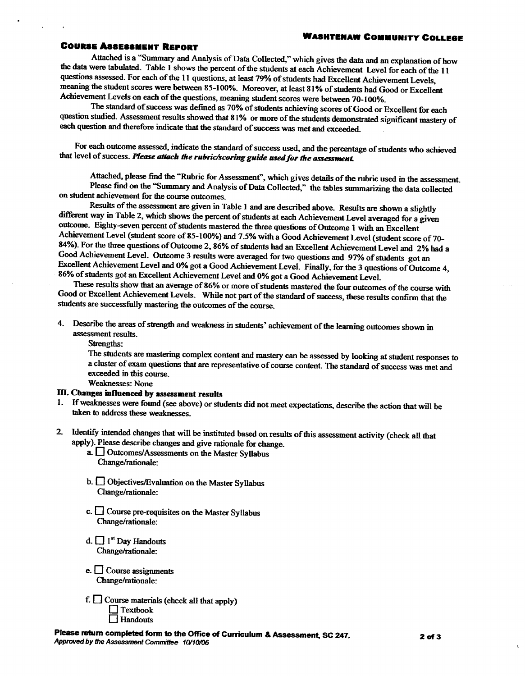#### **WASHTENAW COMMUNITY COLLEGE**

#### **COURSE ASSESSMENT REPORT**

Attached is a "Summary and Analysis of Data Collected," which gives the data and an explanation of how the data were tabulated. Table 1 shows the percent of the students at each Achievement Level for each of the 11 questions assessed. For each of the 11 questions, at least 79% of students had Excellent Achievement Levels, meaning the student scores were between 85-100%. Moreover, at least 81% of students had Good or Excellent Achievement Levels on each of the questions, meaning student scores were between 70-100%.

The standard of success was defined as 70% of students achieving scores of Good or Excellent for each question studied. Assessment results showed that 81% or more of the students demonstrated significant mastery of each question and therefore indicate that the standard of success was met and exceeded.

For each outcome assessed, indicate the standard of success used, and the percentage of students who achieved that level of success. Please attach the rubric/scoring guide used for the assessment.

Attached, please find the "Rubric for Assessment", which gives details of the rubric used in the assessment. Please find on the "Summary and Analysis of Data Collected," the tables summarizing the data collected on student achievement for the course outcomes.

Results of the assessment are given in Table 1 and are described above. Results are shown a slightly different way in Table 2, which shows the percent of students at each Achievement Level averaged for a given outcome. Eighty-seven percent of students mastered the three questions of Outcome 1 with an Excellent Achievement Level (student score of 85-100%) and 7.5% with a Good Achievement Level (student score of 70-84%). For the three questions of Outcome 2, 86% of students had an Excellent Achievement Level and 2% had a Good Achievement Level. Outcome 3 results were averaged for two questions and 97% of students got an Excellent Achievement Level and 0% got a Good Achievement Level. Finally, for the 3 questions of Outcome 4, 86% of students got an Excellent Achievement Level and 0% got a Good Achievement Level.

These results show that an average of 86% or more of students mastered the four outcomes of the course with Good or Excellent Achievement Levels. While not part of the standard of success, these results confirm that the students are successfully mastering the outcomes of the course.

4. Describe the areas of strength and weakness in students' achievement of the learning outcomes shown in assessment results.

Strengths:

The students are mastering complex content and mastery can be assessed by looking at student responses to a cluster of exam questions that are representative of course content. The standard of success was met and exceeded in this course.

**Weaknesses: None** 

#### III. Changes influenced by assessment results

1. If weaknesses were found (see above) or students did not meet expectations, describe the action that will be taken to address these weaknesses.

- 2. Identify intended changes that will be instituted based on results of this assessment activity (check all that apply). Please describe changes and give rationale for change.
	- a. Outcomes/Assessments on the Master Syllabus Change/rationale:
	- b. <u>Objectives/Evaluation</u> on the Master Syllabus Change/rationale:
	- c.  $\Box$  Course pre-requisites on the Master Syllabus Change/rationale:
	- d.  $\Box$  1<sup>st</sup> Day Handouts Change/rationale:
	- e.  $\Box$  Course assignments Change/rationale:
	- f.  $\Box$  Course materials (check all that apply)  $\Box$  Textbook  $\Box$  Handouts

Please return completed form to the Office of Curriculum & Assessment, SC 247. Approved by the Assessment Committee 10/10/06